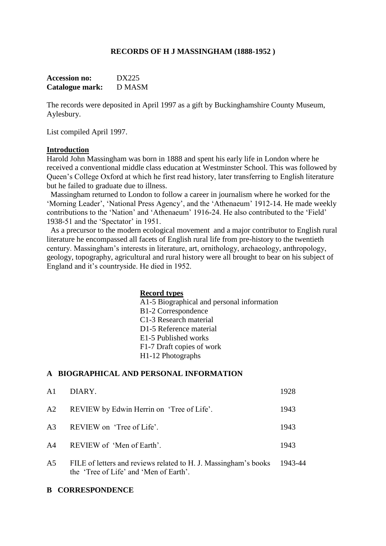### **RECORDS OF H J MASSINGHAM (1888-1952 )**

| <b>Accession no:</b> | DX225         |
|----------------------|---------------|
| Catalogue mark:      | <b>D MASM</b> |

The records were deposited in April 1997 as a gift by Buckinghamshire County Museum, Aylesbury.

List compiled April 1997.

#### **Introduction**

Harold John Massingham was born in 1888 and spent his early life in London where he received a conventional middle class education at Westminster School. This was followed by Queen's College Oxford at which he first read history, later transferring to English literature but he failed to graduate due to illness.

 Massingham returned to London to follow a career in journalism where he worked for the 'Morning Leader', 'National Press Agency', and the 'Athenaeum' 1912-14. He made weekly contributions to the 'Nation' and 'Athenaeum' 1916-24. He also contributed to the 'Field' 1938-51 and the 'Spectator' in 1951.

 As a precursor to the modern ecological movement and a major contributor to English rural literature he encompassed all facets of English rural life from pre-history to the twentieth century. Massingham's interests in literature, art, ornithology, archaeology, anthropology, geology, topography, agricultural and rural history were all brought to bear on his subject of England and it's countryside. He died in 1952.

### **Record types**

A1-5 Biographical and personal information B1-2 Correspondence C1-3 Research material D1-5 Reference material E1-5 Published works F1-7 Draft copies of work H1-12 Photographs

## **A BIOGRAPHICAL AND PERSONAL INFORMATION**

| A <sub>1</sub> | DIARY.                                                                                                            | 1928 |
|----------------|-------------------------------------------------------------------------------------------------------------------|------|
| A2             | REVIEW by Edwin Herrin on 'Tree of Life'.                                                                         | 1943 |
| A3             | REVIEW on 'Tree of Life'.                                                                                         | 1943 |
| A4             | REVIEW of 'Men of Earth'.                                                                                         | 1943 |
| A5             | FILE of letters and reviews related to H. J. Massingham's books 1943-44<br>the 'Tree of Life' and 'Men of Earth'. |      |

#### **B CORRESPONDENCE**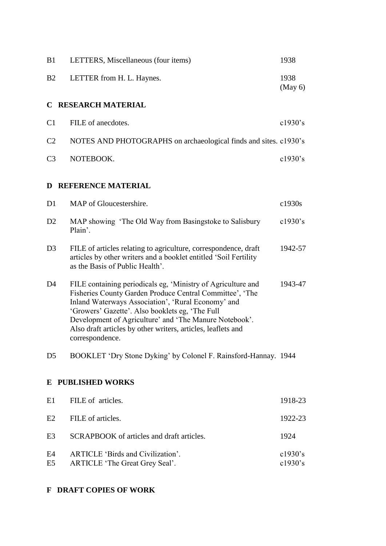| B1                          | LETTERS, Miscellaneous (four items)                                                                                                                                                                                                                                                                                                                                            | 1938                  |  |  |
|-----------------------------|--------------------------------------------------------------------------------------------------------------------------------------------------------------------------------------------------------------------------------------------------------------------------------------------------------------------------------------------------------------------------------|-----------------------|--|--|
| B <sub>2</sub>              | LETTER from H. L. Haynes.                                                                                                                                                                                                                                                                                                                                                      | 1938<br>(May 6)       |  |  |
| C                           | <b>RESEARCH MATERIAL</b>                                                                                                                                                                                                                                                                                                                                                       |                       |  |  |
| C <sub>1</sub>              | FILE of anecdotes.                                                                                                                                                                                                                                                                                                                                                             | $c1930$ 's            |  |  |
| C <sub>2</sub>              | NOTES AND PHOTOGRAPHS on archaeological finds and sites. c1930's                                                                                                                                                                                                                                                                                                               |                       |  |  |
| C <sub>3</sub>              | NOTEBOOK.                                                                                                                                                                                                                                                                                                                                                                      | $c1930$ 's            |  |  |
| <b>D REFERENCE MATERIAL</b> |                                                                                                                                                                                                                                                                                                                                                                                |                       |  |  |
| D <sub>1</sub>              | MAP of Gloucestershire.                                                                                                                                                                                                                                                                                                                                                        | c1930s                |  |  |
| D <sub>2</sub>              | MAP showing 'The Old Way from Basingstoke to Salisbury<br>Plain'.                                                                                                                                                                                                                                                                                                              | $c1930$ 's            |  |  |
| D <sub>3</sub>              | FILE of articles relating to agriculture, correspondence, draft<br>articles by other writers and a booklet entitled 'Soil Fertility<br>as the Basis of Public Health'.                                                                                                                                                                                                         | 1942-57               |  |  |
| D4                          | FILE containing periodicals eg, 'Ministry of Agriculture and<br>Fisheries County Garden Produce Central Committee', 'The<br>Inland Waterways Association', 'Rural Economy' and<br>'Growers' Gazette'. Also booklets eg, 'The Full<br>Development of Agriculture' and 'The Manure Notebook'.<br>Also draft articles by other writers, articles, leaflets and<br>correspondence. | 1943-47               |  |  |
| D <sub>5</sub>              | BOOKLET 'Dry Stone Dyking' by Colonel F. Rainsford-Hannay. 1944                                                                                                                                                                                                                                                                                                                |                       |  |  |
| <b>PUBLISHED WORKS</b><br>E |                                                                                                                                                                                                                                                                                                                                                                                |                       |  |  |
| E1                          | FILE of articles.                                                                                                                                                                                                                                                                                                                                                              | 1918-23               |  |  |
| E2                          | FILE of articles.                                                                                                                                                                                                                                                                                                                                                              | 1922-23               |  |  |
| E3                          | SCRAPBOOK of articles and draft articles.                                                                                                                                                                                                                                                                                                                                      | 1924                  |  |  |
| E4<br>E <sub>5</sub>        | <b>ARTICLE 'Birds and Civilization'.</b><br>ARTICLE 'The Great Grey Seal'.                                                                                                                                                                                                                                                                                                     | $c1930$ 's<br>c1930's |  |  |

# **F DRAFT COPIES OF WORK**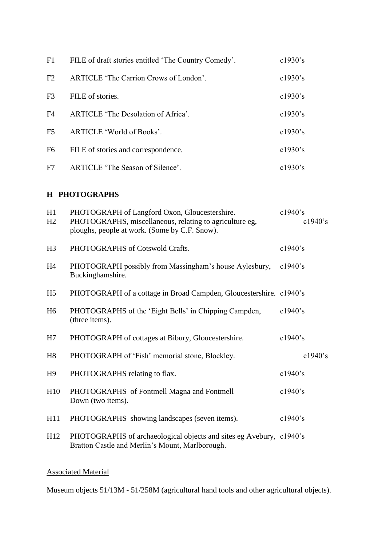| F1             | FILE of draft stories entitled 'The Country Comedy'. | $c1930$ 's  |
|----------------|------------------------------------------------------|-------------|
| F2             | ARTICLE 'The Carrion Crows of London'.               | $c1930$ 's  |
| F <sub>3</sub> | FILE of stories.                                     | $c1930$ 's  |
| F4             | ARTICLE 'The Desolation of Africa'.                  | $c1930$ 's  |
| F <sub>5</sub> | ARTICLE 'World of Books'.                            | $c1930$ 's  |
| F <sub>6</sub> | FILE of stories and correspondence.                  | $c1930$ 's  |
| F7             | ARTICLE 'The Season of Silence'.                     | c $1930$ 's |

## **H PHOTOGRAPHS**

| H1<br>H2       | PHOTOGRAPH of Langford Oxon, Gloucestershire.<br>PHOTOGRAPHS, miscellaneous, relating to agriculture eg,<br>ploughs, people at work. (Some by C.F. Snow). | c1940's<br>$c1940$ 's |
|----------------|-----------------------------------------------------------------------------------------------------------------------------------------------------------|-----------------------|
| H <sub>3</sub> | PHOTOGRAPHS of Cotswold Crafts.                                                                                                                           | c1940's               |
| H <sub>4</sub> | PHOTOGRAPH possibly from Massingham's house Aylesbury,<br>Buckinghamshire.                                                                                | $c1940$ 's            |
| H <sub>5</sub> | PHOTOGRAPH of a cottage in Broad Campden, Gloucestershire. c1940's                                                                                        |                       |
| H <sub>6</sub> | PHOTOGRAPHS of the 'Eight Bells' in Chipping Campden,<br>(three items).                                                                                   | c1940's               |
| H7             | PHOTOGRAPH of cottages at Bibury, Gloucestershire.                                                                                                        | $c1940$ 's            |
| H <sub>8</sub> | PHOTOGRAPH of 'Fish' memorial stone, Blockley.                                                                                                            | $c1940$ 's            |
| H <sub>9</sub> | PHOTOGRAPHS relating to flax.                                                                                                                             | $c1940$ 's            |
| H10            | PHOTOGRAPHS of Fontmell Magna and Fontmell<br>Down (two items).                                                                                           | $c1940$ 's            |
| H11            | PHOTOGRAPHS showing landscapes (seven items).                                                                                                             | $c1940$ 's            |
| H12            | PHOTOGRAPHS of archaeological objects and sites eg Avebury, c1940's<br>Bratton Castle and Merlin's Mount, Marlborough.                                    |                       |

## Associated Material

Museum objects 51/13M - 51/258M (agricultural hand tools and other agricultural objects).